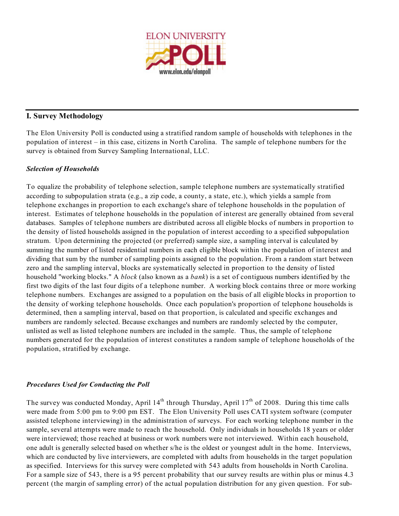

### **I. Survey Methodology**

The Elon University Poll is conducted using a stratified random sample of households with telephones in the population of interest – in this case, citizens in North Carolina. The sample of telephone numbers for the survey is obtained from Survey Sampling International, LLC.

### *Selection of Households*

To equalize the probability of telephone selection, sample telephone numbers are systematically stratified according to subpopulation strata (e.g., a zip code, a county, a state, etc.), which yields a sample from telephone exchanges in proportion to each exchange's share of telephone households in the population of interest. Estimates of telephone households in the population of interest are generally obtained from several databases. Samples of telephone numbers are distributed across all eligible blocks of numbers in proportion to the density of listed households assigned in the population of interest according to a specified subpopulation stratum. Upon determining the projected (or preferred) sample size, a sampling interval is calculated by summing the number of listed residential numbers in each eligible block within the population of interest and dividing that sum by the number of sampling points assigned to the population. From a random start between zero and the sampling interval, blocks are systematically selected in proportion to the density of listed household "working blocks." A *block* (also known as a *bank*) is a set of contiguous numbers identified by the first two digits of the last four digits of a telephone number. A working block contains three or more working telephone numbers. Exchanges are assigned to a population on the basis of all eligible blocks in proportion to the density of working telephone households. Once each population's proportion of telephone households is determined, then a sampling interval, based on that proportion, is calculated and specific exchanges and numbers are randomly selected. Because exchanges and numbers are randomly selected by the computer, unlisted as well as listed telephone numbers are included in the sample. Thus, the sample of telephone numbers generated for the population of interest constitutes a random sample of telephone households of the population, stratified by exchange.

### *Procedures Used for Conducting the Poll*

The survey was conducted Monday, April  $14<sup>th</sup>$  through Thursday, April  $17<sup>th</sup>$  of 2008. During this time calls were made from 5:00 pm to 9:00 pm EST. The Elon University Poll uses CATI system software (computer assisted telephone interviewing) in the administration of surveys. For each working telephone number in the sample, several attempts were made to reach the household. Only individuals in households 18 years or older were interviewed; those reached at business or work numbers were not interviewed. Within each household, one adult is generally selected based on whether s/he is the oldest or youngest adult in the home. Interviews, which are conducted by live interviewers, are completed with adults from households in the target population as specified. Interviews for this survey were completed with 543 adults from households in North Carolina. For a sample size of 543, there is a 95 percent probability that our survey results are within plus or minus 4.3 percent (the margin of sampling error) of the actual population distribution for any given question. For sub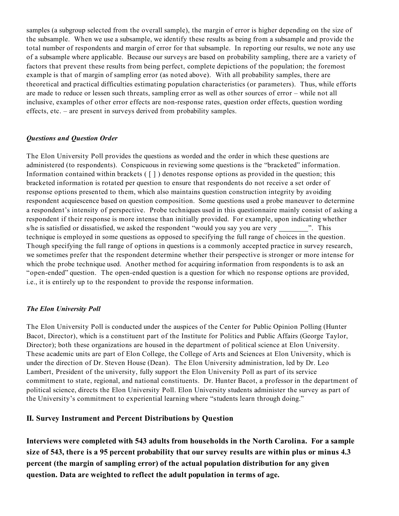samples (a subgroup selected from the overall sample), the margin of error is higher depending on the size of the subsample. When we use a subsample, we identify these results as being from a subsample and provide the total number of respondents and margin of error for that subsample. In reporting our results, we note any use of a subsample where applicable. Because our surveys are based on probability sampling, there are a variety of factors that prevent these results from being perfect, complete depictions of the population; the foremost example is that of margin of sampling error (as noted above). With all probability samples, there are theoretical and practical difficulties estimating population characteristics (or parameters). Thus, while efforts are made to reduce or lessen such threats, sampling error as well as other sources of error – while not all inclusive, examples of other error effects are non-response rates, question order effects, question wording effects, etc. – are present in surveys derived from probability samples.

### *Questions and Question Order*

The Elon University Poll provides the questions as worded and the order in which these questions are administered (to respondents). Conspicuous in reviewing some questions is the "bracketed" information. Information contained within brackets  $(\lceil \rceil)$  denotes response options as provided in the question; this bracketed information is rotated per question to ensure that respondents do not receive a set order of response options presented to them, which also maintains question construction integrity by avoiding respondent acquiescence based on question composition. Some questions used a probe maneuver to determine a respondent's intensity of perspective. Probe techniques used in this questionnaire mainly consist of asking a respondent if their response is more intense than initially provided. For example, upon indicating whether s/he is satisfied or dissatisfied, we asked the respondent "would you say you are very ". This technique is employed in some questions as opposed to specifying the full range of choices in the question. Though specifying the full range of options in questions is a commonly accepted practice in survey research, we sometimes prefer that the respondent determine whether their perspective is stronger or more intense for which the probe technique used. Another method for acquiring information from respondents is to ask an "open-ended" question. The open-ended question is a question for which no response options are provided, i.e., it is entirely up to the respondent to provide the response information.

### *The Elon University Poll*

The Elon University Poll is conducted under the auspices of the Center for Public Opinion Polling (Hunter Bacot, Director), which is a constituent part of the Institute for Politics and Public Affairs (George Taylor, Director); both these organizations are housed in the department of political science at Elon University. These academic units are part of Elon College, the College of Arts and Sciences at Elon University, which is under the direction of Dr. Steven House (Dean). The Elon University administration, led by Dr. Leo Lambert, President of the university, fully support the Elon University Poll as part of its service commitment to state, regional, and national constituents. Dr. Hunter Bacot, a professor in the department of political science, directs the Elon University Poll. Elon University students administer the survey as part of the University's commitment to experiential learning where "students learn through doing."

### **II. Survey Instrument and Percent Distributions by Question**

**Interviews were completed with 543 adults from households in the North Carolina. For a sample size of 543, there is a 95 percent probability that our survey results are within plus or minus 4.3 percent (the margin of sampling error) of the actual population distribution for any given question. Data are weighted to reflect the adult population in terms of age.**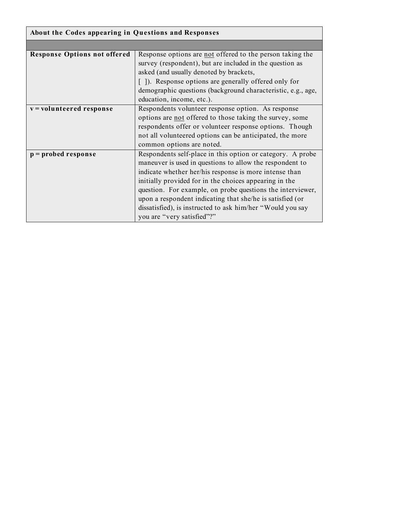| About the Codes appearing in Questions and Responses |                                                              |  |  |  |  |  |
|------------------------------------------------------|--------------------------------------------------------------|--|--|--|--|--|
|                                                      |                                                              |  |  |  |  |  |
| <b>Response Options not offered</b>                  | Response options are not offered to the person taking the    |  |  |  |  |  |
|                                                      | survey (respondent), but are included in the question as     |  |  |  |  |  |
|                                                      | asked (and usually denoted by brackets,                      |  |  |  |  |  |
|                                                      | []). Response options are generally offered only for         |  |  |  |  |  |
|                                                      | demographic questions (background characteristic, e.g., age, |  |  |  |  |  |
|                                                      | education, income, etc.).                                    |  |  |  |  |  |
| v = volunteered response                             | Respondents volunteer response option. As response           |  |  |  |  |  |
|                                                      | options are not offered to those taking the survey, some     |  |  |  |  |  |
|                                                      | respondents offer or volunteer response options. Though      |  |  |  |  |  |
|                                                      | not all volunteered options can be anticipated, the more     |  |  |  |  |  |
|                                                      | common options are noted.                                    |  |  |  |  |  |
| $p =$ probed response                                | Respondents self-place in this option or category. A probe   |  |  |  |  |  |
|                                                      | maneuver is used in questions to allow the respondent to     |  |  |  |  |  |
|                                                      | indicate whether her/his response is more intense than       |  |  |  |  |  |
|                                                      | initially provided for in the choices appearing in the       |  |  |  |  |  |
|                                                      | question. For example, on probe questions the interviewer,   |  |  |  |  |  |
|                                                      | upon a respondent indicating that she/he is satisfied (or    |  |  |  |  |  |
|                                                      | dissatisfied), is instructed to ask him/her "Would you say   |  |  |  |  |  |
|                                                      | you are "very satisfied"?"                                   |  |  |  |  |  |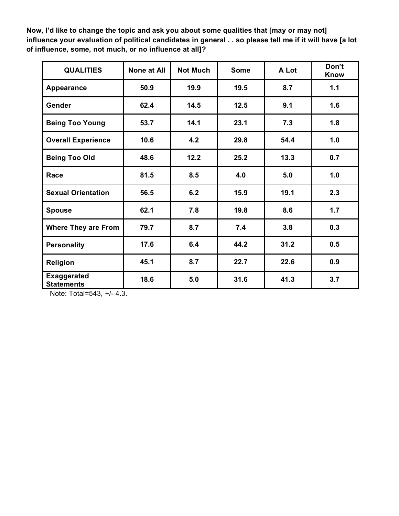**Now, I'd like to change the topic and ask you about some qualities that [may or may not] influence your evaluation of political candidates in general . . so please tell me if it will have [a lot of influence, some, not much, or no influence at all]?**

| <b>QUALITIES</b>                        | <b>None at All</b> | <b>Not Much</b> | <b>Some</b> | A Lot | Don't<br><b>Know</b> |
|-----------------------------------------|--------------------|-----------------|-------------|-------|----------------------|
| Appearance                              | 50.9               | 19.9            | 19.5        | 8.7   | 1.1                  |
| Gender                                  | 62.4               | 14.5            | 12.5        | 9.1   | 1.6                  |
| <b>Being Too Young</b>                  | 53.7               | 14.1            | 23.1        | 7.3   | 1.8                  |
| <b>Overall Experience</b>               | 10.6               | 4.2             | 29.8        | 54.4  | 1.0                  |
| <b>Being Too Old</b>                    | 48.6               | 12.2            | 25.2        | 13.3  | 0.7                  |
| Race                                    | 81.5               | 8.5             | 4.0         | 5.0   | 1.0                  |
| <b>Sexual Orientation</b>               | 56.5               | 6.2             | 15.9        | 19.1  | 2.3                  |
| <b>Spouse</b>                           | 62.1               | 7.8             | 19.8        | 8.6   | 1.7                  |
| <b>Where They are From</b>              | 79.7               | 8.7             | 7.4         | 3.8   | 0.3                  |
| <b>Personality</b>                      | 17.6               | 6.4             | 44.2        | 31.2  | 0.5                  |
| Religion                                | 45.1               | 8.7             | 22.7        | 22.6  | 0.9                  |
| <b>Exaggerated</b><br><b>Statements</b> | 18.6               | 5.0             | 31.6        | 41.3  | 3.7                  |

Note: Total=543, +/- 4.3.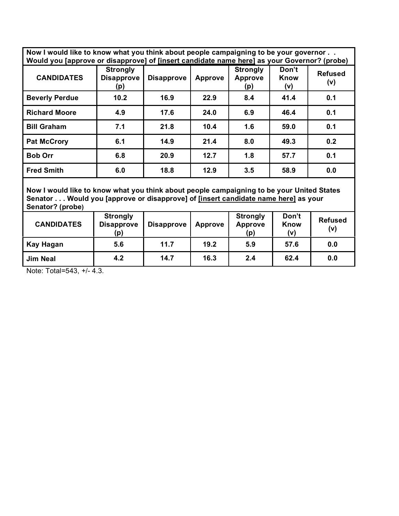**Now I would like to know what you think about people campaigning to be your governor . . Would you [approve or disapprove] of [insert candidate name here] as your Governor? (probe)**

| .                     |                                             |                   |         |                                   |                             |                       |
|-----------------------|---------------------------------------------|-------------------|---------|-----------------------------------|-----------------------------|-----------------------|
| <b>CANDIDATES</b>     | <b>Strongly</b><br><b>Disapprove</b><br>(p) | <b>Disapprove</b> | Approve | <b>Strongly</b><br>Approve<br>(p) | Don't<br><b>Know</b><br>(v) | <b>Refused</b><br>(v) |
| <b>Beverly Perdue</b> | 10.2                                        | 16.9              | 22.9    | 8.4                               | 41.4                        | 0.1                   |
| <b>Richard Moore</b>  | 4.9                                         | 17.6              | 24.0    | 6.9                               | 46.4                        | 0.1                   |
| <b>Bill Graham</b>    | 7.1                                         | 21.8              | 10.4    | 1.6                               | 59.0                        | 0.1                   |
| <b>Pat McCrory</b>    | 6.1                                         | 14.9              | 21.4    | 8.0                               | 49.3                        | 0.2                   |
| <b>Bob Orr</b>        | 6.8                                         | 20.9              | 12.7    | 1.8                               | 57.7                        | 0.1                   |
| <b>Fred Smith</b>     | 6.0                                         | 18.8              | 12.9    | 3.5                               | 58.9                        | 0.0                   |

**Now I would like to know what you think about people campaigning to be your United States Senator . . . Would you [approve or disapprove] of [insert candidate name here] as your Senator? (probe)**

| <b>CANDIDATES</b> | <b>Strongly</b><br><b>Disapprove</b><br>(p) | <b>Disapprove</b> | Approve | <b>Strongly</b><br><b>Approve</b><br>(p) | Don't<br>Know<br>(v) | <b>Refused</b><br>(v) |
|-------------------|---------------------------------------------|-------------------|---------|------------------------------------------|----------------------|-----------------------|
| Kay Hagan         | 5.6                                         | 11.7              | 19.2    | 5.9                                      | 57.6                 | 0.0                   |
| <b>Jim Neal</b>   | 4.2                                         | 14.7              | 16.3    | 2.4                                      | 62.4                 | 0.0                   |

Note: Total=543, +/- 4.3.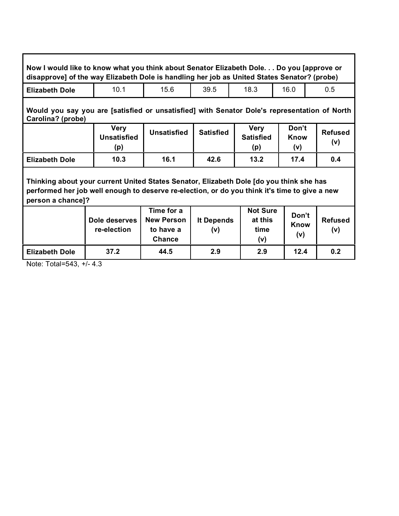| Now I would like to know what you think about Senator Elizabeth Dole Do you [approve or<br>disapprove] of the way Elizabeth Dole is handling her job as United States Senator? (probe)                        |                                          |                                                        |                   |                                           |                             |                       |
|---------------------------------------------------------------------------------------------------------------------------------------------------------------------------------------------------------------|------------------------------------------|--------------------------------------------------------|-------------------|-------------------------------------------|-----------------------------|-----------------------|
| <b>Elizabeth Dole</b>                                                                                                                                                                                         | 10.1                                     | 15.6                                                   | 39.5              | 18.3                                      | 16.0                        | 0.5                   |
| Would you say you are [satisfied or unsatisfied] with Senator Dole's representation of North<br>Carolina? (probe)                                                                                             |                                          |                                                        |                   |                                           |                             |                       |
|                                                                                                                                                                                                               | <b>Very</b><br><b>Unsatisfied</b><br>(p) | <b>Unsatisfied</b>                                     | <b>Satisfied</b>  | <b>Very</b><br><b>Satisfied</b><br>(p)    | Don't<br>Know<br>(v)        | <b>Refused</b><br>(v) |
| <b>Elizabeth Dole</b>                                                                                                                                                                                         | 10.3                                     | 16.1                                                   | 42.6              | 13.2                                      | 17.4                        | 0.4                   |
| Thinking about your current United States Senator, Elizabeth Dole [do you think she has<br>performed her job well enough to deserve re-election, or do you think it's time to give a new<br>person a chance]? |                                          |                                                        |                   |                                           |                             |                       |
|                                                                                                                                                                                                               | Dole deserves<br>re-election             | Time for a<br><b>New Person</b><br>to have a<br>Chance | It Depends<br>(v) | <b>Not Sure</b><br>at this<br>time<br>(v) | Don't<br><b>Know</b><br>(v) | <b>Refused</b><br>(v) |
| <b>Elizabeth Dole</b>                                                                                                                                                                                         | 37.2                                     | 44.5                                                   | 2.9               | 2.9                                       | 12.4                        | 0.2                   |

٦

Note: Total=543, +/- 4.3

Г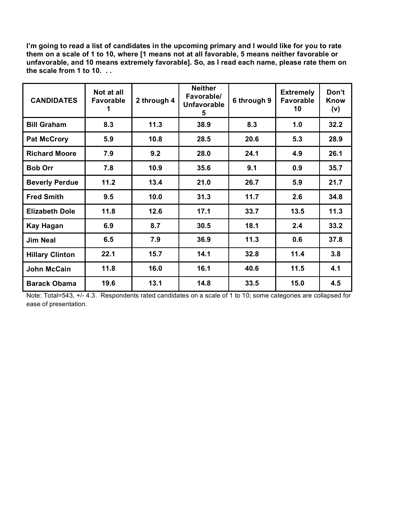**I'm going to read a list of candidates in the upcoming primary and I would like for you to rate them on a scale of 1 to 10, where [1 means not at all favorable, 5 means neither favorable or unfavorable, and 10 means extremely favorable]. So, as I read each name, please rate them on the scale from 1 to 10. . .**

| <b>CANDIDATES</b>      | Not at all<br><b>Favorable</b> | 2 through 4 | <b>Neither</b><br>Favorable/<br><b>Unfavorable</b><br>5 | 6 through 9 | <b>Extremely</b><br><b>Favorable</b><br>10 | Don't<br><b>Know</b><br>(v) |
|------------------------|--------------------------------|-------------|---------------------------------------------------------|-------------|--------------------------------------------|-----------------------------|
| <b>Bill Graham</b>     | 8.3                            | 11.3        | 38.9                                                    | 8.3         | 1.0                                        | 32.2                        |
| <b>Pat McCrory</b>     | 5.9                            | 10.8        | 28.5                                                    | 20.6        | 5.3                                        | 28.9                        |
| <b>Richard Moore</b>   | 7.9                            | 9.2         | 28.0                                                    | 24.1        | 4.9                                        | 26.1                        |
| <b>Bob Orr</b>         | 7.8                            | 10.9        | 35.6                                                    | 9.1         | 0.9                                        | 35.7                        |
| <b>Beverly Perdue</b>  | 11.2                           | 13.4        | 21.0                                                    | 26.7        | 5.9                                        | 21.7                        |
| <b>Fred Smith</b>      | 9.5                            | 10.0        | 31.3                                                    | 11.7        | 2.6                                        | 34.8                        |
| <b>Elizabeth Dole</b>  | 11.8                           | 12.6        | 17.1                                                    | 33.7        | 13.5                                       | 11.3                        |
| <b>Kay Hagan</b>       | 6.9                            | 8.7         | 30.5                                                    | 18.1        | 2.4                                        | 33.2                        |
| <b>Jim Neal</b>        | 6.5                            | 7.9         | 36.9                                                    | 11.3        | 0.6                                        | 37.8                        |
| <b>Hillary Clinton</b> | 22.1                           | 15.7        | 14.1                                                    | 32.8        | 11.4                                       | 3.8                         |
| <b>John McCain</b>     | 11.8                           | 16.0        | 16.1                                                    | 40.6        | 11.5                                       | 4.1                         |
| <b>Barack Obama</b>    | 19.6                           | 13.1        | 14.8                                                    | 33.5        | 15.0                                       | 4.5                         |

Note: Total=543, +/- 4.3. Respondents rated candidates on a scale of 1 to 10; some categories are collapsed for ease of presentation.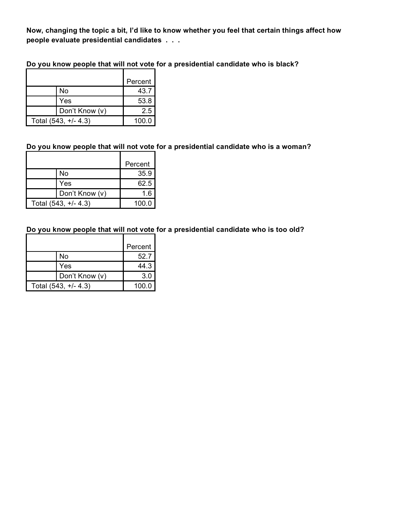**Now, changing the topic a bit, I'd like to know whether you feel that certain things affect how people evaluate presidential candidates . . .**

**Do you know people that will not vote for a presidential candidate who is black?**

|                      | Percent |
|----------------------|---------|
| No                   | 43.7    |
| Yes                  | 53.8    |
| Don't Know (v)       | 2.5     |
| Total (543, +/- 4.3) | 100.0   |

# **Do you know people that will not vote for a presidential candidate who is a woman?**

|                      | Percent |
|----------------------|---------|
| No                   | 35.9    |
| Yes                  | 62.5    |
| Don't Know (v)       | 1.6     |
| Total (543, +/- 4.3) | 100.0   |

## **Do you know people that will not vote for a presidential candidate who is too old?**

|                      | Percent |
|----------------------|---------|
| No                   | 52.7    |
| Yes                  | 44.3    |
| Don't Know (v)       | 3.0     |
| Total (543, +/- 4.3) |         |